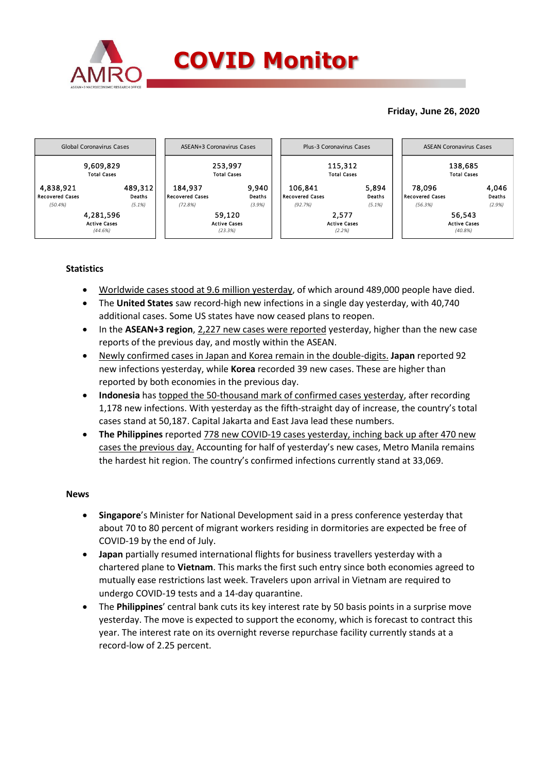

# **Friday, June 26, 2020**



# **Statistics**

- Worldwide cases stood at 9.6 million yesterday, of which around 489,000 people have died.
- The **United States** saw record-high new infections in a single day yesterday, with 40,740 additional cases. Some US states have now ceased plans to reopen.
- In the **ASEAN+3 region**, 2,227 new cases were reported yesterday, higher than the new case reports of the previous day, and mostly within the ASEAN.
- Newly confirmed cases in Japan and Korea remain in the double-digits. **Japan** reported 92 new infections yesterday, while **Korea** recorded 39 new cases. These are higher than reported by both economies in the previous day.
- **Indonesia** has topped the 50-thousand mark of confirmed cases yesterday, after recording 1,178 new infections. With yesterday as the fifth-straight day of increase, the country's total cases stand at 50,187. Capital Jakarta and East Java lead these numbers.
- **The Philippines** reported 778 new COVID-19 cases yesterday, inching back up after 470 new cases the previous day. Accounting for half of yesterday's new cases, Metro Manila remains the hardest hit region. The country's confirmed infections currently stand at 33,069.

### **News**

- **Singapore**'s Minister for National Development said in a press conference yesterday that about 70 to 80 percent of migrant workers residing in dormitories are expected be free of COVID-19 by the end of July.
- **Japan** partially resumed international flights for business travellers yesterday with a chartered plane to **Vietnam**. This marks the first such entry since both economies agreed to mutually ease restrictions last week. Travelers upon arrival in Vietnam are required to undergo COVID-19 tests and a 14-day quarantine.
- The **Philippines**' central bank cuts its key interest rate by 50 basis points in a surprise move yesterday. The move is expected to support the economy, which is forecast to contract this year. The interest rate on its overnight reverse repurchase facility currently stands at a record-low of 2.25 percent.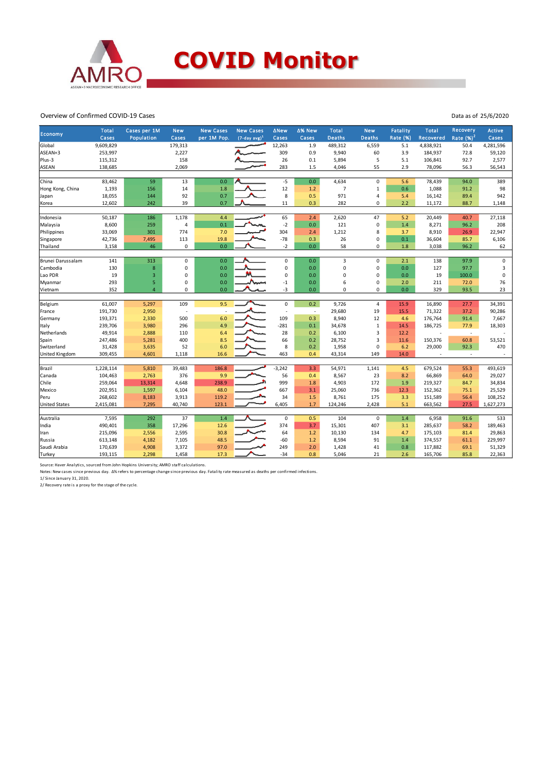

#### Overview of Confirmed COVID-19 Cases

| Economy               | <b>Total</b> | Cases per 1M   | <b>New</b>     | <b>New Cases</b> | <b>New Cases</b> | <b>ANew</b> | ∆% New | <b>Total</b>   | <b>New</b>     | <b>Fatality</b> | <b>Total</b> | Recovery    | <b>Active</b> |
|-----------------------|--------------|----------------|----------------|------------------|------------------|-------------|--------|----------------|----------------|-----------------|--------------|-------------|---------------|
|                       | Cases        | Population     | Cases          | per 1M Pop.      | $(7-day avg)^1$  | Cases       | Cases  | <b>Deaths</b>  | <b>Deaths</b>  | <b>Rate (%)</b> | Recovered    | Rate $(%)2$ | Cases         |
| Global                | 9,609,829    |                | 179,313        |                  |                  | 12,263      | 1.9    | 489,312        | 6,559          | 5.1             | 4,838,921    | 50.4        | 4,281,596     |
| ASEAN+3               | 253,997      |                | 2,227          |                  |                  | 309         | 0.9    | 9,940          | 60             | 3.9             | 184,937      | 72.8        | 59,120        |
| Plus-3                | 115,312      |                | 158            |                  |                  | 26          | 0.1    | 5,894          | 5              | 5.1             | 106,841      | 92.7        | 2,577         |
| <b>ASEAN</b>          | 138,685      |                | 2,069          |                  |                  | 283         | 1.5    | 4,046          | 55             | 2.9             | 78,096       | 56.3        | 56,543        |
|                       |              |                |                |                  |                  |             |        |                |                |                 |              |             |               |
| China                 | 83,462       | 59             | 13             | 0.0              |                  | $-5$        | 0.0    | 4,634          | $\mathbf 0$    | 5.6             | 78,439       | 94.0        | 389           |
| Hong Kong, China      | 1,193        | 156            | 14             | 1.8              |                  | 12          | 1.2    | $\overline{7}$ | $\mathbf{1}$   | 0.6             | 1,088        | 91.2        | 98            |
| Japan                 | 18,055       | 144            | 92             | 0.7              |                  | 8           | 0.5    | 971            | 4              | 5.4             | 16,142       | 89.4        | 942           |
| Korea                 | 12,602       | 242            | 39             | 0.7              |                  | 11          | 0.3    | 282            | 0              | 2.2             | 11,172       | 88.7        | 1,148         |
|                       |              |                |                |                  |                  |             |        |                |                |                 |              |             |               |
| Indonesia             | 50,187       | 186            | 1,178          | 4.4              |                  | 65          | 2.4    | 2,620          | 47             | 5.2             | 20,449       | 40.7        | 27,118        |
| Malaysia              | 8,600        | 259            | $\overline{4}$ | 0.1              |                  | $-2$        | 0.0    | 121            | $\mathbf 0$    | 1.4             | 8,271        | 96.2        | 208           |
| Philippines           | 33,069       | 301            | 774            | 7.0              |                  | 304         | 2.4    | 1,212          | 8              | 3.7             | 8,910        | 26.9        | 22,947        |
| Singapore             | 42,736       | 7,495          | 113            | 19.8             |                  | $-78$       | 0.3    | 26             | 0              | 0.1             | 36,604       | 85.7        | 6,106         |
| Thailand              | 3,158        | 46             | 0              | 0.0              |                  | $-2$        | 0.0    | 58             | 0              | 1.8             | 3,038        | 96.2        | 62            |
| Brunei Darussalam     | 141          | 313            | 0              | 0.0              |                  | 0           | 0.0    | 3              | $\mathbf 0$    | 2.1             | 138          | 97.9        | $\pmb{0}$     |
| Cambodia              | 130          | $\bf 8$        | 0              | 0.0              |                  | $\mathbf 0$ | 0.0    | $\mathsf 0$    | $\pmb{0}$      | 0.0             | 127          | 97.7        | 3             |
| Lao PDR               | 19           | $\mathsf 3$    | 0              | 0.0              |                  | $\mathbf 0$ | 0.0    | 0              | $\mathbf 0$    | 0.0             | 19           | 100.0       | $\mathsf 0$   |
| Myanmar               | 293          | 5              | 0              | 0.0              | Anne             | $-1$        | 0.0    | 6              | $\mathsf 0$    | 2.0             | 211          | 72.0        | 76            |
| Vietnam               | 352          | $\overline{4}$ | 0              | 0.0              |                  | -3          | 0.0    | 0              | 0              | 0.0             | 329          | 93.5        | 23            |
|                       |              |                |                |                  |                  |             |        |                |                |                 |              |             |               |
| Belgium               | 61,007       | 5,297          | 109            | 9.5              |                  | $\mathbf 0$ | 0.2    | 9,726          | $\overline{a}$ | 15.9            | 16,890       | 27.7        | 34,391        |
| France                | 191,730      | 2,950          |                |                  |                  | ä,          | $\sim$ | 29,680         | 19             | 15.5            | 71,322       | 37.2        | 90,286        |
| Germany               | 193,371      | 2,330          | 500            | 6.0              |                  | 109         | 0.3    | 8,940          | 12             | 4.6             | 176,764      | 91.4        | 7,667         |
| Italy                 | 239,706      | 3,980          | 296            | 4.9              |                  | $-281$      | 0.1    | 34,678         | $\mathbf{1}$   | 14.5            | 186,725      | 77.9        | 18,303        |
| Netherlands           | 49,914       | 2,888          | 110            | 6.4              |                  | 28          | 0.2    | 6,100          | 3              | 12.2            |              | ×,          |               |
| Spain                 | 247,486      | 5,281          | 400            | 8.5              |                  | 66          | 0.2    | 28,752         | 3              | 11.6            | 150,376      | 60.8        | 53,521        |
| Switzerland           | 31,428       | 3,635          | 52             | 6.0              |                  | 8           | 0.2    | 1,958          | $\mathbf 0$    | 6.2             | 29,000       | 92.3        | 470           |
| <b>United Kingdom</b> | 309,455      | 4,601          | 1,118          | 16.6             |                  | 463         | 0.4    | 43,314         | 149            | 14.0            |              | ×,          |               |
|                       |              |                |                |                  |                  |             |        |                |                |                 |              |             |               |
| Brazil                | 1,228,114    | 5,810          | 39,483         | 186.8            |                  | $-3,242$    | 3.3    | 54,971         | 1,141          | 4.5             | 679,524      | 55.3        | 493,619       |
| Canada                | 104,463      | 2,763          | 376            | 9.9              |                  | 56          | 0.4    | 8,567          | 23             | 8.2             | 66,869       | 64.0        | 29,027        |
| Chile                 | 259,064      | 13,314         | 4,648          | 238.9            |                  | 999         | 1.8    | 4,903          | 172            | 1.9             | 219,327      | 84.7        | 34,834        |
| Mexico                | 202,951      | 1,597          | 6,104          | 48.0             |                  | 667         | 3.1    | 25,060         | 736            | 12.3            | 152,362      | 75.1        | 25,529        |
| Peru                  | 268,602      | 8,183          | 3,913          | 119.2            |                  | 34          | 1.5    | 8,761          | 175            | 3.3             | 151,589      | 56.4        | 108,252       |
| <b>United States</b>  | 2,415,081    | 7,295          | 40,740         | 123.1            |                  | 6,405       | 1.7    | 124,246        | 2,428          | 5.1             | 663,562      | 27.5        | 1,627,273     |
|                       |              |                |                |                  |                  |             |        |                |                |                 |              |             |               |
| Australia             | 7,595        | 292            | 37             | 1.4              |                  | $\mathbf 0$ | 0.5    | 104            | $\mathbf 0$    | 1.4             | 6,958        | 91.6        | 533           |
| India                 | 490,401      | 358            | 17,296         | 12.6             |                  | 374         | 3.7    | 15,301         | 407            | 3.1             | 285,637      | 58.2        | 189,463       |
| Iran                  | 215,096      | 2,556          | 2,595          | 30.8             |                  | 64          | 1.2    | 10,130         | 134            | 4.7             | 175,103      | 81.4        | 29,863        |
| Russia                | 613,148      | 4,182          | 7,105          | 48.5             |                  | $-60$       | 1.2    | 8,594          | 91             | 1.4             | 374,557      | 61.1        | 229,997       |
| Saudi Arabia          | 170,639      | 4,908          | 3,372          | 97.0             |                  | 249         | 2.0    | 1,428          | 41             | 0.8             | 117,882      | 69.1        | 51,329        |
| Turkey                | 193,115      | 2,298          | 1,458          | 17.3             |                  | $-34$       | 0.8    | 5,046          | 21             | 2.6             | 165,706      | 85.8        | 22,363        |

Source: Haver Analytics, sourced from John Hopkins University; AMRO staff calculations.<br>Notes: New cases since previous day. *D*% refers to percentage change since previous day. Fatality rate measured as deaths per confirm

2/ Recovery rate is a proxy for the stage of the cycle.

Data as of 25/6/2020